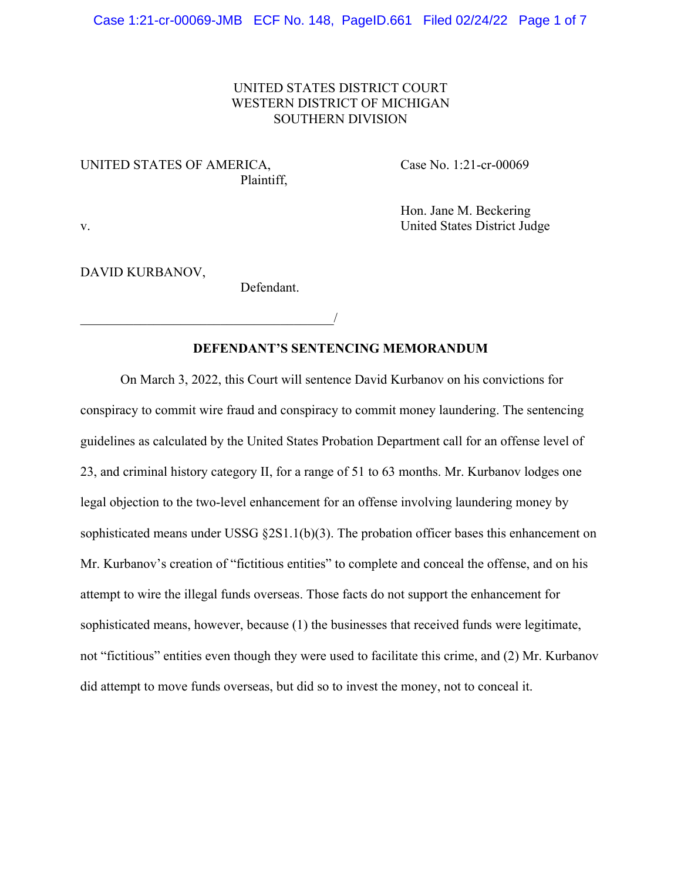## UNITED STATES DISTRICT COURT WESTERN DISTRICT OF MICHIGAN SOUTHERN DIVISION

## UNITED STATES OF AMERICA, Case No. 1:21-cr-00069 Plaintiff,

Hon. Jane M. Beckering v. United States District Judge

### DAVID KURBANOV,

Defendant.

 $\overline{\phantom{a}}$ 

## **DEFENDANT'S SENTENCING MEMORANDUM**

On March 3, 2022, this Court will sentence David Kurbanov on his convictions for conspiracy to commit wire fraud and conspiracy to commit money laundering. The sentencing guidelines as calculated by the United States Probation Department call for an offense level of 23, and criminal history category II, for a range of 51 to 63 months. Mr. Kurbanov lodges one legal objection to the two-level enhancement for an offense involving laundering money by sophisticated means under USSG §2S1.1(b)(3). The probation officer bases this enhancement on Mr. Kurbanov's creation of "fictitious entities" to complete and conceal the offense, and on his attempt to wire the illegal funds overseas. Those facts do not support the enhancement for sophisticated means, however, because (1) the businesses that received funds were legitimate, not "fictitious" entities even though they were used to facilitate this crime, and (2) Mr. Kurbanov did attempt to move funds overseas, but did so to invest the money, not to conceal it.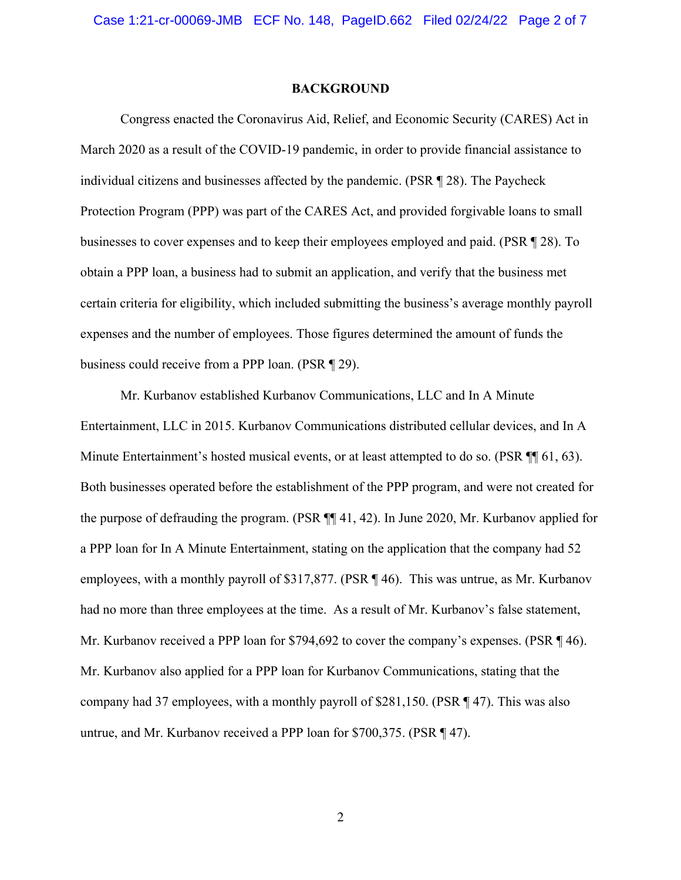#### **BACKGROUND**

Congress enacted the Coronavirus Aid, Relief, and Economic Security (CARES) Act in March 2020 as a result of the COVID-19 pandemic, in order to provide financial assistance to individual citizens and businesses affected by the pandemic. (PSR ¶ 28). The Paycheck Protection Program (PPP) was part of the CARES Act, and provided forgivable loans to small businesses to cover expenses and to keep their employees employed and paid. (PSR ¶ 28). To obtain a PPP loan, a business had to submit an application, and verify that the business met certain criteria for eligibility, which included submitting the business's average monthly payroll expenses and the number of employees. Those figures determined the amount of funds the business could receive from a PPP loan. (PSR ¶ 29).

Mr. Kurbanov established Kurbanov Communications, LLC and In A Minute Entertainment, LLC in 2015. Kurbanov Communications distributed cellular devices, and In A Minute Entertainment's hosted musical events, or at least attempted to do so. (PSR ¶¶ 61, 63). Both businesses operated before the establishment of the PPP program, and were not created for the purpose of defrauding the program. (PSR ¶¶ 41, 42). In June 2020, Mr. Kurbanov applied for a PPP loan for In A Minute Entertainment, stating on the application that the company had 52 employees, with a monthly payroll of \$317,877. (PSR ¶ 46). This was untrue, as Mr. Kurbanov had no more than three employees at the time. As a result of Mr. Kurbanov's false statement, Mr. Kurbanov received a PPP loan for \$794,692 to cover the company's expenses. (PSR ¶ 46). Mr. Kurbanov also applied for a PPP loan for Kurbanov Communications, stating that the company had 37 employees, with a monthly payroll of \$281,150. (PSR ¶ 47). This was also untrue, and Mr. Kurbanov received a PPP loan for \$700,375. (PSR ¶ 47).

2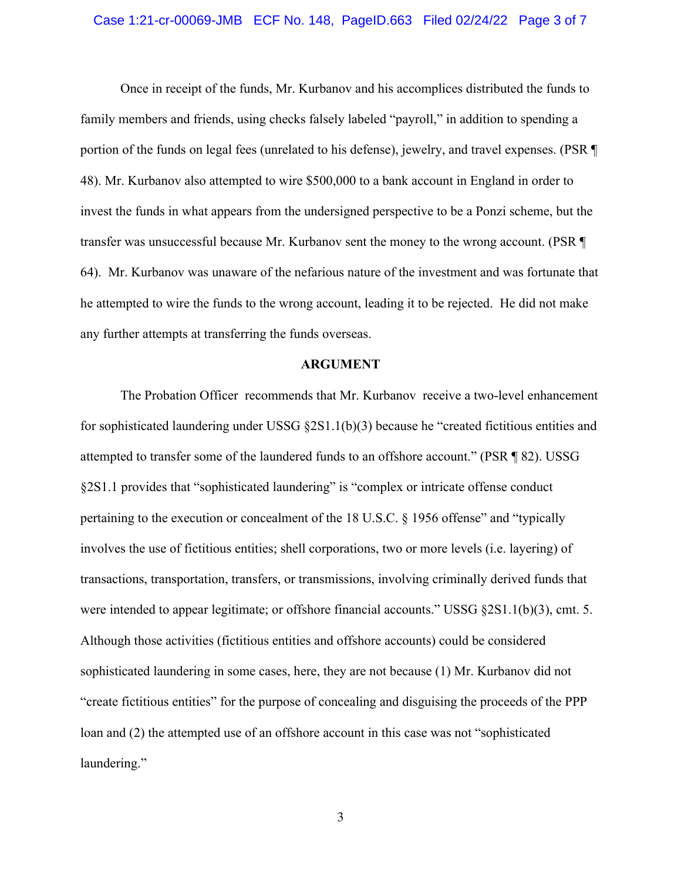#### Case 1:21-cr-00069-JMB ECF No. 148, PageID.663 Filed 02/24/22 Page 3 of 7

Once in receipt of the funds, Mr. Kurbanov and his accomplices distributed the funds to family members and friends, using checks falsely labeled "payroll," in addition to spending a portion of the funds on legal fees (unrelated to his defense), jewelry, and travel expenses. (PSR ¶ 48). Mr. Kurbanov also attempted to wire \$500,000 to a bank account in England in order to invest the funds in what appears from the undersigned perspective to be a Ponzi scheme, but the transfer was unsuccessful because Mr. Kurbanov sent the money to the wrong account. (PSR ¶ 64). Mr. Kurbanov was unaware of the nefarious nature of the investment and was fortunate that he attempted to wire the funds to the wrong account, leading it to be rejected. He did not make any further attempts at transferring the funds overseas.

#### **ARGUMENT**

The Probation Officer recommends that Mr. Kurbanov receive a two-level enhancement for sophisticated laundering under USSG  $\S 2S1.1(b)(3)$  because he "created fictitious entities and attempted to transfer some of the laundered funds to an offshore account." (PSR ¶ 82). USSG §2S1.1 provides that "sophisticated laundering" is "complex or intricate offense conduct pertaining to the execution or concealment of the 18 U.S.C. § 1956 offense" and "typically involves the use of fictitious entities; shell corporations, two or more levels (i.e. layering) of transactions, transportation, transfers, or transmissions, involving criminally derived funds that were intended to appear legitimate; or offshore financial accounts." USSG §2S1.1(b)(3), cmt. 5. Although those activities (fictitious entities and offshore accounts) could be considered sophisticated laundering in some cases, here, they are not because (1) Mr. Kurbanov did not "create fictitious entities" for the purpose of concealing and disguising the proceeds of the PPP loan and (2) the attempted use of an offshore account in this case was not "sophisticated laundering."

3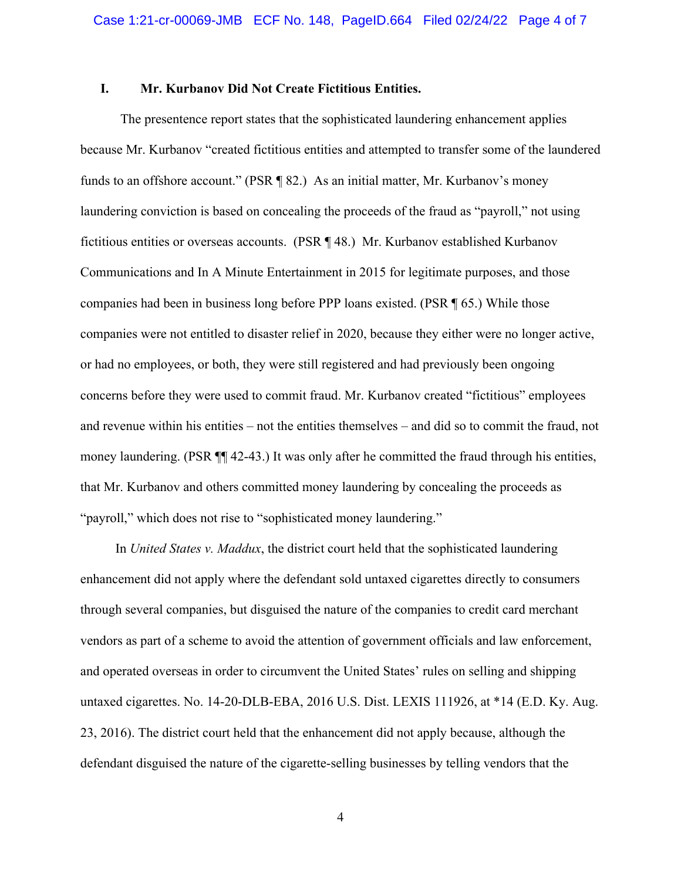### **I. Mr. Kurbanov Did Not Create Fictitious Entities.**

The presentence report states that the sophisticated laundering enhancement applies because Mr. Kurbanov "created fictitious entities and attempted to transfer some of the laundered funds to an offshore account." (PSR ¶ 82.) As an initial matter, Mr. Kurbanov's money laundering conviction is based on concealing the proceeds of the fraud as "payroll," not using fictitious entities or overseas accounts. (PSR ¶ 48.) Mr. Kurbanov established Kurbanov Communications and In A Minute Entertainment in 2015 for legitimate purposes, and those companies had been in business long before PPP loans existed. (PSR ¶ 65.) While those companies were not entitled to disaster relief in 2020, because they either were no longer active, or had no employees, or both, they were still registered and had previously been ongoing concerns before they were used to commit fraud. Mr. Kurbanov created "fictitious" employees and revenue within his entities – not the entities themselves – and did so to commit the fraud, not money laundering. (PSR ¶¶ 42-43.) It was only after he committed the fraud through his entities, that Mr. Kurbanov and others committed money laundering by concealing the proceeds as "payroll," which does not rise to "sophisticated money laundering."

In *United States v. Maddux*, the district court held that the sophisticated laundering enhancement did not apply where the defendant sold untaxed cigarettes directly to consumers through several companies, but disguised the nature of the companies to credit card merchant vendors as part of a scheme to avoid the attention of government officials and law enforcement, and operated overseas in order to circumvent the United States' rules on selling and shipping untaxed cigarettes. No. 14-20-DLB-EBA, 2016 U.S. Dist. LEXIS 111926, at \*14 (E.D. Ky. Aug. 23, 2016). The district court held that the enhancement did not apply because, although the defendant disguised the nature of the cigarette-selling businesses by telling vendors that the

4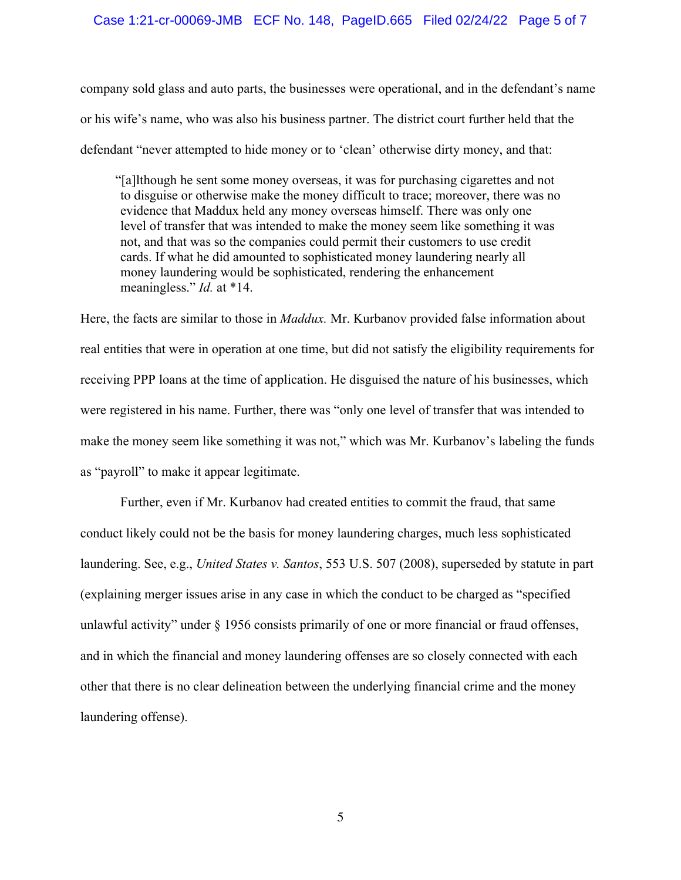#### Case 1:21-cr-00069-JMB ECF No. 148, PageID.665 Filed 02/24/22 Page 5 of 7

company sold glass and auto parts, the businesses were operational, and in the defendant's name or his wife's name, who was also his business partner. The district court further held that the defendant "never attempted to hide money or to 'clean' otherwise dirty money, and that:

"[a]lthough he sent some money overseas, it was for purchasing cigarettes and not to disguise or otherwise make the money difficult to trace; moreover, there was no evidence that Maddux held any money overseas himself. There was only one level of transfer that was intended to make the money seem like something it was not, and that was so the companies could permit their customers to use credit cards. If what he did amounted to sophisticated money laundering nearly all money laundering would be sophisticated, rendering the enhancement meaningless." *Id.* at \*14.

Here, the facts are similar to those in *Maddux.* Mr. Kurbanov provided false information about real entities that were in operation at one time, but did not satisfy the eligibility requirements for receiving PPP loans at the time of application. He disguised the nature of his businesses, which were registered in his name. Further, there was "only one level of transfer that was intended to make the money seem like something it was not," which was Mr. Kurbanov's labeling the funds as "payroll" to make it appear legitimate.

Further, even if Mr. Kurbanov had created entities to commit the fraud, that same conduct likely could not be the basis for money laundering charges, much less sophisticated laundering. See, e.g., *United States v. Santos*, 553 U.S. 507 (2008), superseded by statute in part (explaining merger issues arise in any case in which the conduct to be charged as "specified unlawful activity" under § 1956 consists primarily of one or more financial or fraud offenses, and in which the financial and money laundering offenses are so closely connected with each other that there is no clear delineation between the underlying financial crime and the money laundering offense).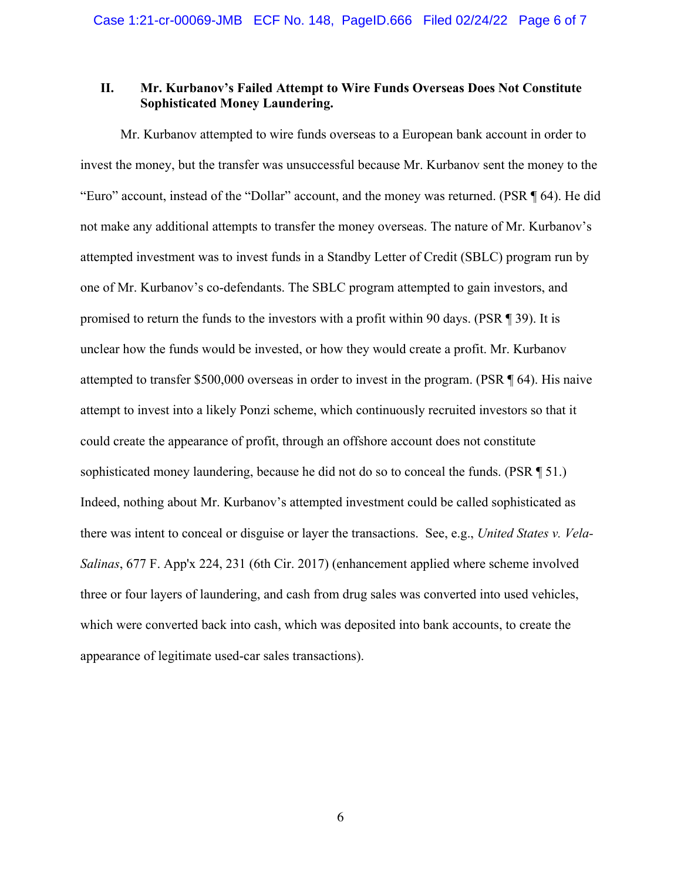### **II. Mr. Kurbanov's Failed Attempt to Wire Funds Overseas Does Not Constitute Sophisticated Money Laundering.**

Mr. Kurbanov attempted to wire funds overseas to a European bank account in order to invest the money, but the transfer was unsuccessful because Mr. Kurbanov sent the money to the "Euro" account, instead of the "Dollar" account, and the money was returned. (PSR ¶ 64). He did not make any additional attempts to transfer the money overseas. The nature of Mr. Kurbanov's attempted investment was to invest funds in a Standby Letter of Credit (SBLC) program run by one of Mr. Kurbanov's co-defendants. The SBLC program attempted to gain investors, and promised to return the funds to the investors with a profit within 90 days. (PSR ¶ 39). It is unclear how the funds would be invested, or how they would create a profit. Mr. Kurbanov attempted to transfer \$500,000 overseas in order to invest in the program. (PSR ¶ 64). His naive attempt to invest into a likely Ponzi scheme, which continuously recruited investors so that it could create the appearance of profit, through an offshore account does not constitute sophisticated money laundering, because he did not do so to conceal the funds. (PSR ¶ 51.) Indeed, nothing about Mr. Kurbanov's attempted investment could be called sophisticated as there was intent to conceal or disguise or layer the transactions. See, e.g., *United States v. Vela-Salinas*, 677 F. App'x 224, 231 (6th Cir. 2017) (enhancement applied where scheme involved three or four layers of laundering, and cash from drug sales was converted into used vehicles, which were converted back into cash, which was deposited into bank accounts, to create the appearance of legitimate used-car sales transactions).